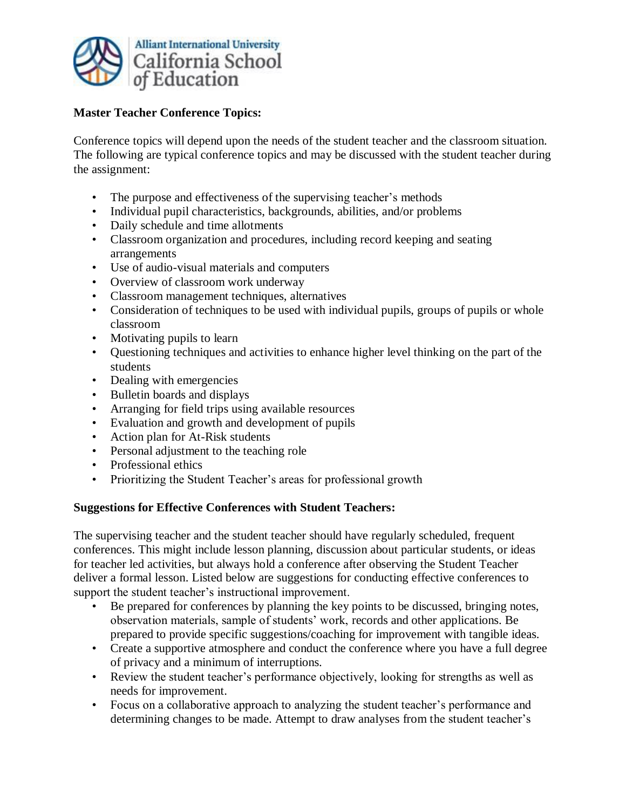

## **Master Teacher Conference Topics:**

Conference topics will depend upon the needs of the student teacher and the classroom situation. The following are typical conference topics and may be discussed with the student teacher during the assignment:

- The purpose and effectiveness of the supervising teacher's methods
- Individual pupil characteristics, backgrounds, abilities, and/or problems
- Daily schedule and time allotments
- Classroom organization and procedures, including record keeping and seating arrangements
- Use of audio-visual materials and computers
- Overview of classroom work underway
- Classroom management techniques, alternatives
- Consideration of techniques to be used with individual pupils, groups of pupils or whole classroom
- Motivating pupils to learn
- Questioning techniques and activities to enhance higher level thinking on the part of the students
- Dealing with emergencies
- Bulletin boards and displays
- Arranging for field trips using available resources
- Evaluation and growth and development of pupils
- Action plan for At-Risk students
- Personal adjustment to the teaching role
- Professional ethics
- Prioritizing the Student Teacher's areas for professional growth

## **Suggestions for Effective Conferences with Student Teachers:**

The supervising teacher and the student teacher should have regularly scheduled, frequent conferences. This might include lesson planning, discussion about particular students, or ideas for teacher led activities, but always hold a conference after observing the Student Teacher deliver a formal lesson. Listed below are suggestions for conducting effective conferences to support the student teacher's instructional improvement.

- Be prepared for conferences by planning the key points to be discussed, bringing notes, observation materials, sample of students' work, records and other applications. Be prepared to provide specific suggestions/coaching for improvement with tangible ideas.
- Create a supportive atmosphere and conduct the conference where you have a full degree of privacy and a minimum of interruptions.
- Review the student teacher's performance objectively, looking for strengths as well as needs for improvement.
- Focus on a collaborative approach to analyzing the student teacher's performance and determining changes to be made. Attempt to draw analyses from the student teacher's